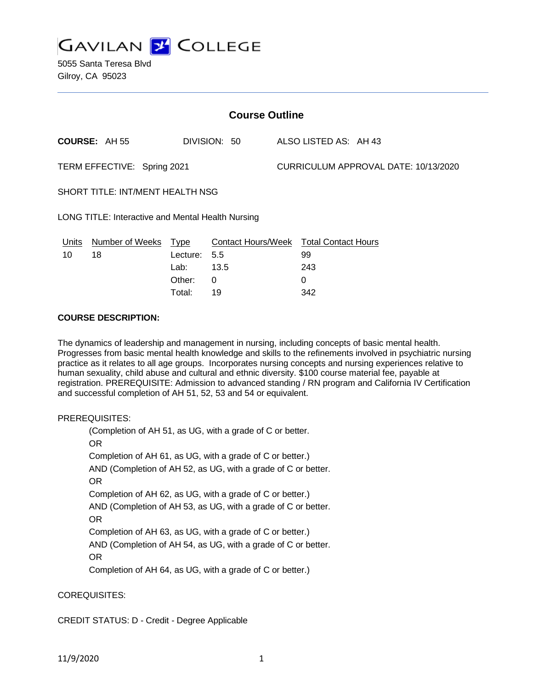

| <b>Course Outline</b>                             |                      |          |                                        |  |                                      |  |  |
|---------------------------------------------------|----------------------|----------|----------------------------------------|--|--------------------------------------|--|--|
|                                                   | <b>COURSE: AH 55</b> |          | DIVISION: 50                           |  | ALSO LISTED AS: AH 43                |  |  |
| TERM EFFECTIVE: Spring 2021                       |                      |          |                                        |  | CURRICULUM APPROVAL DATE: 10/13/2020 |  |  |
| SHORT TITLE: INT/MENT HEALTH NSG                  |                      |          |                                        |  |                                      |  |  |
| LONG TITLE: Interactive and Mental Health Nursing |                      |          |                                        |  |                                      |  |  |
| Units                                             | Number of Weeks Type |          | Contact Hours/Week Total Contact Hours |  |                                      |  |  |
| 10                                                | 18                   | Lecture: | 5.5                                    |  | 99                                   |  |  |
|                                                   |                      | Lab:     | 13.5                                   |  | 243                                  |  |  |
|                                                   |                      | Other:   | 0                                      |  | 0                                    |  |  |

Total: 19 342

### **COURSE DESCRIPTION:**

The dynamics of leadership and management in nursing, including concepts of basic mental health. Progresses from basic mental health knowledge and skills to the refinements involved in psychiatric nursing practice as it relates to all age groups. Incorporates nursing concepts and nursing experiences relative to human sexuality, child abuse and cultural and ethnic diversity. \$100 course material fee, payable at registration. PREREQUISITE: Admission to advanced standing / RN program and California IV Certification and successful completion of AH 51, 52, 53 and 54 or equivalent.

# PREREQUISITES:

(Completion of AH 51, as UG, with a grade of C or better. OR Completion of AH 61, as UG, with a grade of C or better.) AND (Completion of AH 52, as UG, with a grade of C or better. OR Completion of AH 62, as UG, with a grade of C or better.) AND (Completion of AH 53, as UG, with a grade of C or better. OR Completion of AH 63, as UG, with a grade of C or better.) AND (Completion of AH 54, as UG, with a grade of C or better. OR Completion of AH 64, as UG, with a grade of C or better.)

# COREQUISITES:

# CREDIT STATUS: D - Credit - Degree Applicable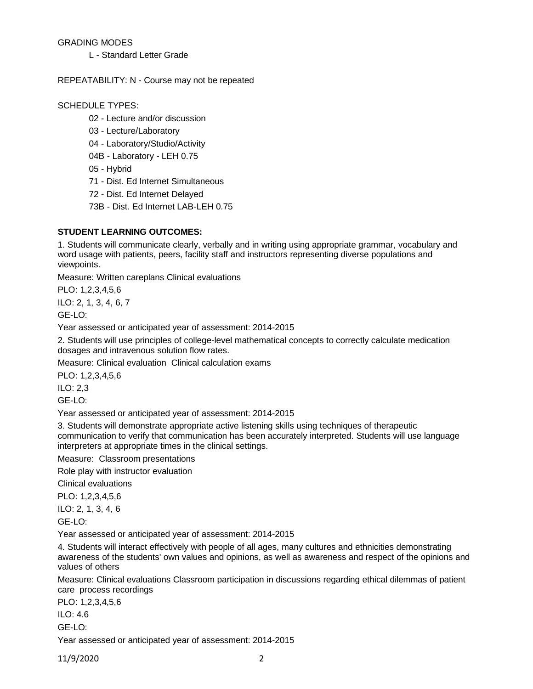# GRADING MODES

L - Standard Letter Grade

### REPEATABILITY: N - Course may not be repeated

## SCHEDULE TYPES:

- 02 Lecture and/or discussion
- 03 Lecture/Laboratory
- 04 Laboratory/Studio/Activity
- 04B Laboratory LEH 0.75
- 05 Hybrid
- 71 Dist. Ed Internet Simultaneous
- 72 Dist. Ed Internet Delayed
- 73B Dist. Ed Internet LAB-LEH 0.75

# **STUDENT LEARNING OUTCOMES:**

1. Students will communicate clearly, verbally and in writing using appropriate grammar, vocabulary and word usage with patients, peers, facility staff and instructors representing diverse populations and viewpoints.

Measure: Written careplans Clinical evaluations

PLO: 1,2,3,4,5,6

ILO: 2, 1, 3, 4, 6, 7

GE-LO:

Year assessed or anticipated year of assessment: 2014-2015

2. Students will use principles of college-level mathematical concepts to correctly calculate medication dosages and intravenous solution flow rates.

Measure: Clinical evaluation Clinical calculation exams

PLO: 1,2,3,4,5,6

ILO: 2,3

GE-LO:

Year assessed or anticipated year of assessment: 2014-2015

3. Students will demonstrate appropriate active listening skills using techniques of therapeutic communication to verify that communication has been accurately interpreted. Students will use language interpreters at appropriate times in the clinical settings.

Measure: Classroom presentations

Role play with instructor evaluation

Clinical evaluations

PLO: 1,2,3,4,5,6

ILO: 2, 1, 3, 4, 6

GE-LO:

Year assessed or anticipated year of assessment: 2014-2015

4. Students will interact effectively with people of all ages, many cultures and ethnicities demonstrating awareness of the students' own values and opinions, as well as awareness and respect of the opinions and values of others

Measure: Clinical evaluations Classroom participation in discussions regarding ethical dilemmas of patient care process recordings

PLO: 1,2,3,4,5,6

ILO: 4.6

GE-LO:

Year assessed or anticipated year of assessment: 2014-2015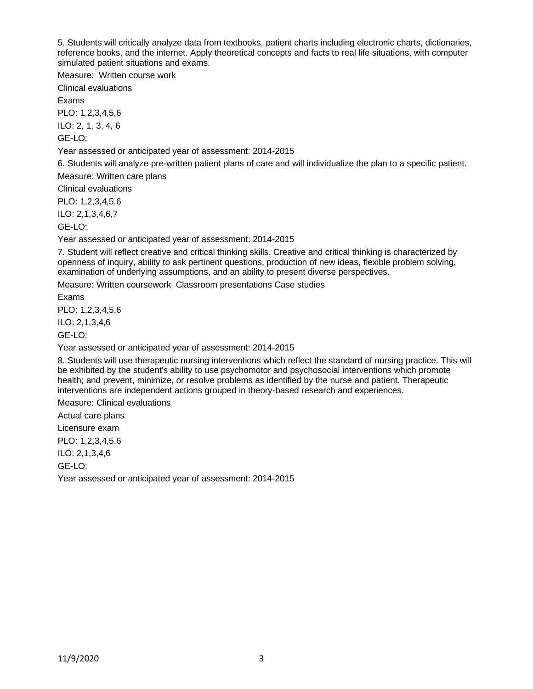5. Students will critically analyze data from textbooks, patient charts including electronic charts, dictionaries, reference books, and the internet. Apply theoretical concepts and facts to real life situations, with computer simulated patient situations and exams.

Measure: Written course work

Clinical evaluations

Exams

PLO: 1,2,3,4,5,6

ILO: 2, 1, 3, 4, 6

GE-LO:

Year assessed or anticipated year of assessment: 2014-2015

6. Students will analyze pre-written patient plans of care and will individualize the plan to a specific patient.

Measure: Written care plans

Clinical evaluations

PLO: 1,2,3,4,5,6

ILO: 2,1,3,4,6,7

GE-LO:

Year assessed or anticipated year of assessment: 2014-2015

7. Student will reflect creative and critical thinking skills. Creative and critical thinking is characterized by openness of inquiry, ability to ask pertinent questions, production of new ideas, flexible problem solving, examination of underlying assumptions, and an ability to present diverse perspectives.

Measure: Written coursework Classroom presentations Case studies

Exams

PLO: 1,2,3,4,5,6

ILO: 2,1,3,4,6

GE-LO:

Year assessed or anticipated year of assessment: 2014-2015

8. Students will use therapeutic nursing interventions which reflect the standard of nursing practice. This will be exhibited by the student's ability to use psychomotor and psychosocial interventions which promote health; and prevent, minimize, or resolve problems as identified by the nurse and patient. Therapeutic interventions are independent actions grouped in theory-based research and experiences.

Measure: Clinical evaluations

Actual care plans

Licensure exam

PLO: 1,2,3,4,5,6

ILO: 2,1,3,4,6

GE-LO:

Year assessed or anticipated year of assessment: 2014-2015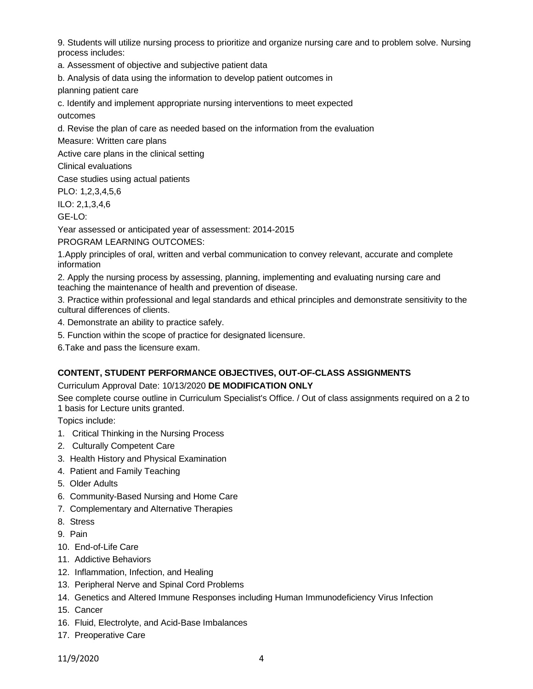9. Students will utilize nursing process to prioritize and organize nursing care and to problem solve. Nursing process includes:

a. Assessment of objective and subjective patient data

b. Analysis of data using the information to develop patient outcomes in

planning patient care

c. Identify and implement appropriate nursing interventions to meet expected

outcomes

d. Revise the plan of care as needed based on the information from the evaluation

Measure: Written care plans

Active care plans in the clinical setting

Clinical evaluations

Case studies using actual patients

PLO: 1,2,3,4,5,6

ILO: 2,1,3,4,6

GE-LO:

Year assessed or anticipated year of assessment: 2014-2015

PROGRAM LEARNING OUTCOMES:

1.Apply principles of oral, written and verbal communication to convey relevant, accurate and complete information

2. Apply the nursing process by assessing, planning, implementing and evaluating nursing care and teaching the maintenance of health and prevention of disease.

3. Practice within professional and legal standards and ethical principles and demonstrate sensitivity to the cultural differences of clients.

4. Demonstrate an ability to practice safely.

5. Function within the scope of practice for designated licensure.

6.Take and pass the licensure exam.

# **CONTENT, STUDENT PERFORMANCE OBJECTIVES, OUT-OF-CLASS ASSIGNMENTS**

# Curriculum Approval Date: 10/13/2020 **DE MODIFICATION ONLY**

See complete course outline in Curriculum Specialist's Office. / Out of class assignments required on a 2 to 1 basis for Lecture units granted.

Topics include:

- 1. Critical Thinking in the Nursing Process
- 2. Culturally Competent Care
- 3. Health History and Physical Examination
- 4. Patient and Family Teaching
- 5. Older Adults
- 6. Community-Based Nursing and Home Care
- 7. Complementary and Alternative Therapies
- 8. Stress
- 9. Pain
- 10. End-of-Life Care
- 11. Addictive Behaviors
- 12. Inflammation, Infection, and Healing
- 13. Peripheral Nerve and Spinal Cord Problems
- 14. Genetics and Altered Immune Responses including Human Immunodeficiency Virus Infection
- 15. Cancer
- 16. Fluid, Electrolyte, and Acid-Base Imbalances
- 17. Preoperative Care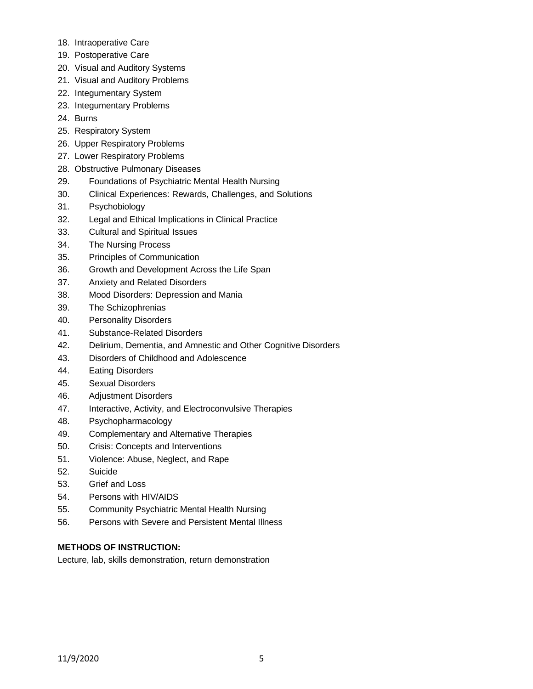- 18. Intraoperative Care
- 19. Postoperative Care
- 20. Visual and Auditory Systems
- 21. Visual and Auditory Problems
- 22. Integumentary System
- 23. Integumentary Problems
- 24. Burns
- 25. Respiratory System
- 26. Upper Respiratory Problems
- 27. Lower Respiratory Problems
- 28. Obstructive Pulmonary Diseases
- 29. Foundations of Psychiatric Mental Health Nursing
- 30. Clinical Experiences: Rewards, Challenges, and Solutions
- 31. Psychobiology
- 32. Legal and Ethical Implications in Clinical Practice
- 33. Cultural and Spiritual Issues
- 34. The Nursing Process
- 35. Principles of Communication
- 36. Growth and Development Across the Life Span
- 37. Anxiety and Related Disorders
- 38. Mood Disorders: Depression and Mania
- 39. The Schizophrenias
- 40. Personality Disorders
- 41. Substance-Related Disorders
- 42. Delirium, Dementia, and Amnestic and Other Cognitive Disorders
- 43. Disorders of Childhood and Adolescence
- 44. Eating Disorders
- 45. Sexual Disorders
- 46. Adjustment Disorders
- 47. Interactive, Activity, and Electroconvulsive Therapies
- 48. Psychopharmacology
- 49. Complementary and Alternative Therapies
- 50. Crisis: Concepts and Interventions
- 51. Violence: Abuse, Neglect, and Rape
- 52. Suicide
- 53. Grief and Loss
- 54. Persons with HIV/AIDS
- 55. Community Psychiatric Mental Health Nursing
- 56. Persons with Severe and Persistent Mental Illness

# **METHODS OF INSTRUCTION:**

Lecture, lab, skills demonstration, return demonstration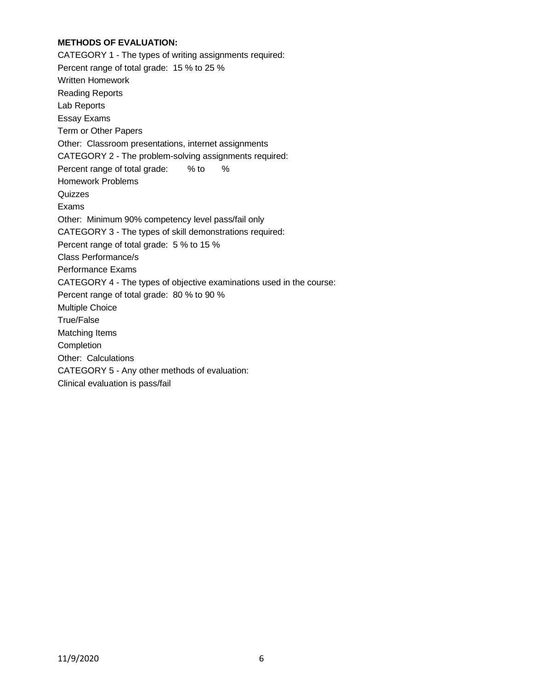# **METHODS OF EVALUATION:**

CATEGORY 1 - The types of writing assignments required: Percent range of total grade: 15 % to 25 % Written Homework Reading Reports Lab Reports Essay Exams Term or Other Papers Other: Classroom presentations, internet assignments CATEGORY 2 - The problem-solving assignments required: Percent range of total grade: % to % Homework Problems **Quizzes** Exams Other: Minimum 90% competency level pass/fail only CATEGORY 3 - The types of skill demonstrations required: Percent range of total grade: 5 % to 15 % Class Performance/s Performance Exams CATEGORY 4 - The types of objective examinations used in the course: Percent range of total grade: 80 % to 90 % Multiple Choice True/False Matching Items **Completion** Other: Calculations CATEGORY 5 - Any other methods of evaluation: Clinical evaluation is pass/fail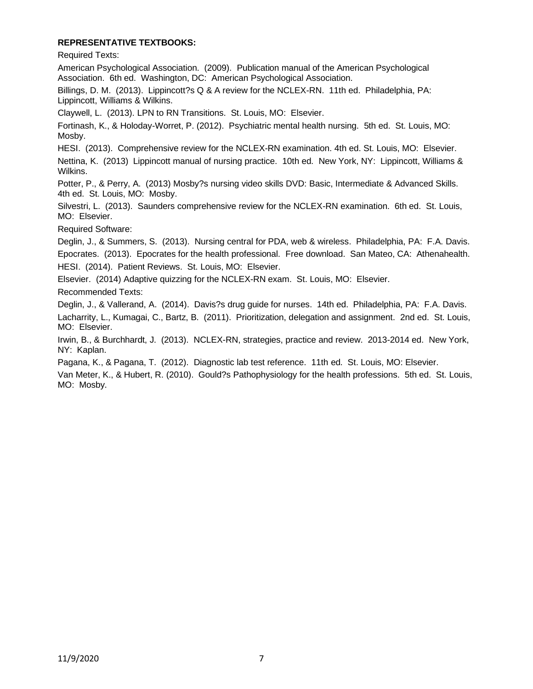# **REPRESENTATIVE TEXTBOOKS:**

Required Texts:

American Psychological Association. (2009). Publication manual of the American Psychological Association. 6th ed. Washington, DC: American Psychological Association.

Billings, D. M. (2013). Lippincott?s Q & A review for the NCLEX-RN. 11th ed. Philadelphia, PA: Lippincott, Williams & Wilkins.

Claywell, L. (2013). LPN to RN Transitions. St. Louis, MO: Elsevier.

Fortinash, K., & Holoday-Worret, P. (2012). Psychiatric mental health nursing. 5th ed. St. Louis, MO: Mosby.

HESI. (2013). Comprehensive review for the NCLEX-RN examination. 4th ed. St. Louis, MO: Elsevier.

Nettina, K. (2013) Lippincott manual of nursing practice. 10th ed. New York, NY: Lippincott, Williams & Wilkins.

Potter, P., & Perry, A. (2013) Mosby?s nursing video skills DVD: Basic, Intermediate & Advanced Skills. 4th ed. St. Louis, MO: Mosby.

Silvestri, L. (2013). Saunders comprehensive review for the NCLEX-RN examination. 6th ed. St. Louis, MO: Elsevier.

Required Software:

Deglin, J., & Summers, S. (2013). Nursing central for PDA, web & wireless. Philadelphia, PA: F.A. Davis. Epocrates. (2013). Epocrates for the health professional. Free download. San Mateo, CA: Athenahealth. HESI. (2014). Patient Reviews. St. Louis, MO: Elsevier.

Elsevier. (2014) Adaptive quizzing for the NCLEX-RN exam. St. Louis, MO: Elsevier.

Recommended Texts:

Deglin, J., & Vallerand, A. (2014). Davis?s drug guide for nurses. 14th ed. Philadelphia, PA: F.A. Davis. Lacharrity, L., Kumagai, C., Bartz, B. (2011). Prioritization, delegation and assignment. 2nd ed. St. Louis, MO: Elsevier.

Irwin, B., & Burchhardt, J. (2013). NCLEX-RN, strategies, practice and review. 2013-2014 ed. New York, NY: Kaplan.

Pagana, K., & Pagana, T. (2012). Diagnostic lab test reference. 11th ed. St. Louis, MO: Elsevier.

Van Meter, K., & Hubert, R. (2010). Gould?s Pathophysiology for the health professions. 5th ed. St. Louis, MO: Mosby.